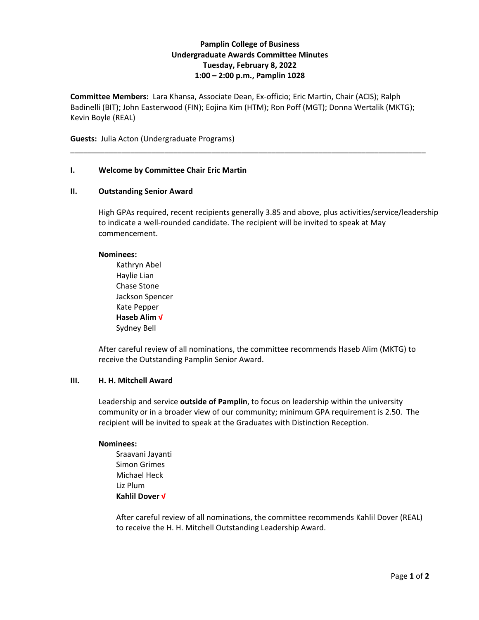# **Pamplin College of Business Undergraduate Awards Committee Minutes Tuesday, February 8, 2022 1:00 – 2:00 p.m., Pamplin 1028**

**Committee Members:** Lara Khansa, Associate Dean, Ex-officio; Eric Martin, Chair (ACIS); Ralph Badinelli (BIT); John Easterwood (FIN); Eojina Kim (HTM); Ron Poff (MGT); Donna Wertalik (MKTG); Kevin Boyle (REAL)

\_\_\_\_\_\_\_\_\_\_\_\_\_\_\_\_\_\_\_\_\_\_\_\_\_\_\_\_\_\_\_\_\_\_\_\_\_\_\_\_\_\_\_\_\_\_\_\_\_\_\_\_\_\_\_\_\_\_\_\_\_\_\_\_\_\_\_\_\_\_\_\_\_\_\_\_\_\_\_\_\_\_\_

**Guests:** Julia Acton (Undergraduate Programs)

## **I. Welcome by Committee Chair Eric Martin**

### **II. Outstanding Senior Award**

High GPAs required, recent recipients generally 3.85 and above, plus activities/service/leadership to indicate a well-rounded candidate. The recipient will be invited to speak at May commencement.

### **Nominees:**

Kathryn Abel Haylie Lian Chase Stone Jackson Spencer Kate Pepper **Haseb Alim √** Sydney Bell

After careful review of all nominations, the committee recommends Haseb Alim (MKTG) to receive the Outstanding Pamplin Senior Award.

## **III. H. H. Mitchell Award**

Leadership and service **outside of Pamplin**, to focus on leadership within the university community or in a broader view of our community; minimum GPA requirement is 2.50. The recipient will be invited to speak at the Graduates with Distinction Reception.

### **Nominees:**

Sraavani Jayanti Simon Grimes Michael Heck Liz Plum **Kahlil Dover √**

After careful review of all nominations, the committee recommends Kahlil Dover (REAL) to receive the H. H. Mitchell Outstanding Leadership Award.